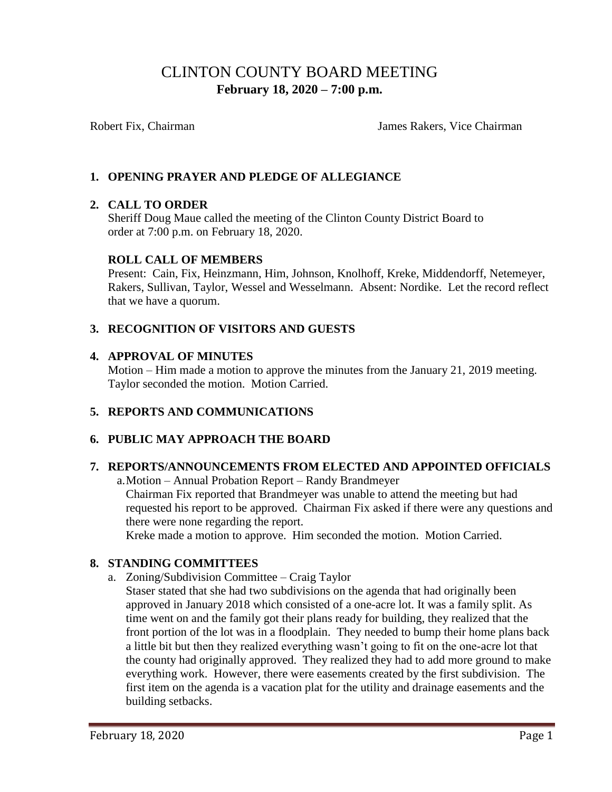# CLINTON COUNTY BOARD MEETING  **February 18, 2020 – 7:00 p.m.**

Robert Fix, Chairman James Rakers, Vice Chairman

# **1. OPENING PRAYER AND PLEDGE OF ALLEGIANCE**

# **2. CALL TO ORDER**

Sheriff Doug Maue called the meeting of the Clinton County District Board to order at 7:00 p.m. on February 18, 2020.

### **ROLL CALL OF MEMBERS**

Present: Cain, Fix, Heinzmann, Him, Johnson, Knolhoff, Kreke, Middendorff, Netemeyer, Rakers, Sullivan, Taylor, Wessel and Wesselmann. Absent: Nordike. Let the record reflect that we have a quorum.

# **3. RECOGNITION OF VISITORS AND GUESTS**

### **4. APPROVAL OF MINUTES**

Motion – Him made a motion to approve the minutes from the January 21, 2019 meeting. Taylor seconded the motion. Motion Carried.

# **5. REPORTS AND COMMUNICATIONS**

# **6. PUBLIC MAY APPROACH THE BOARD**

#### **7. REPORTS/ANNOUNCEMENTS FROM ELECTED AND APPOINTED OFFICIALS**

a.Motion – Annual Probation Report – Randy Brandmeyer

Chairman Fix reported that Brandmeyer was unable to attend the meeting but had requested his report to be approved. Chairman Fix asked if there were any questions and there were none regarding the report.

Kreke made a motion to approve. Him seconded the motion. Motion Carried.

#### **8. STANDING COMMITTEES**

- a. Zoning/Subdivision Committee Craig Taylor
	- Staser stated that she had two subdivisions on the agenda that had originally been approved in January 2018 which consisted of a one-acre lot. It was a family split. As time went on and the family got their plans ready for building, they realized that the front portion of the lot was in a floodplain. They needed to bump their home plans back a little bit but then they realized everything wasn't going to fit on the one-acre lot that the county had originally approved. They realized they had to add more ground to make everything work. However, there were easements created by the first subdivision. The first item on the agenda is a vacation plat for the utility and drainage easements and the building setbacks.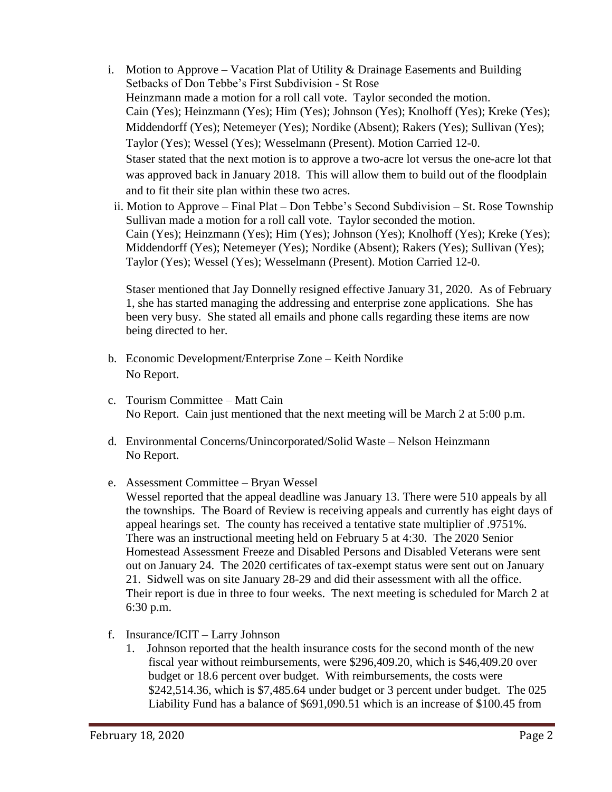- i. Motion to Approve Vacation Plat of Utility  $&$  Drainage Easements and Building Setbacks of Don Tebbe's First Subdivision - St Rose Heinzmann made a motion for a roll call vote. Taylor seconded the motion. Cain (Yes); Heinzmann (Yes); Him (Yes); Johnson (Yes); Knolhoff (Yes); Kreke (Yes); Middendorff (Yes); Netemeyer (Yes); Nordike (Absent); Rakers (Yes); Sullivan (Yes); Taylor (Yes); Wessel (Yes); Wesselmann (Present). Motion Carried 12-0. Staser stated that the next motion is to approve a two-acre lot versus the one-acre lot that was approved back in January 2018. This will allow them to build out of the floodplain and to fit their site plan within these two acres.
	- ii. Motion to Approve Final Plat Don Tebbe's Second Subdivision St. Rose Township Sullivan made a motion for a roll call vote. Taylor seconded the motion. Cain (Yes); Heinzmann (Yes); Him (Yes); Johnson (Yes); Knolhoff (Yes); Kreke (Yes); Middendorff (Yes); Netemeyer (Yes); Nordike (Absent); Rakers (Yes); Sullivan (Yes); Taylor (Yes); Wessel (Yes); Wesselmann (Present). Motion Carried 12-0.

Staser mentioned that Jay Donnelly resigned effective January 31, 2020. As of February 1, she has started managing the addressing and enterprise zone applications. She has been very busy. She stated all emails and phone calls regarding these items are now being directed to her.

- b. Economic Development/Enterprise Zone Keith Nordike No Report.
- c. Tourism Committee Matt Cain No Report. Cain just mentioned that the next meeting will be March 2 at 5:00 p.m.
- d. Environmental Concerns/Unincorporated/Solid Waste Nelson Heinzmann No Report.
- e. Assessment Committee Bryan Wessel
	- Wessel reported that the appeal deadline was January 13. There were 510 appeals by all the townships. The Board of Review is receiving appeals and currently has eight days of appeal hearings set. The county has received a tentative state multiplier of .9751%. There was an instructional meeting held on February 5 at 4:30. The 2020 Senior Homestead Assessment Freeze and Disabled Persons and Disabled Veterans were sent out on January 24. The 2020 certificates of tax-exempt status were sent out on January 21. Sidwell was on site January 28-29 and did their assessment with all the office. Their report is due in three to four weeks. The next meeting is scheduled for March 2 at 6:30 p.m.
- f. Insurance/ICIT Larry Johnson
	- 1. Johnson reported that the health insurance costs for the second month of the new fiscal year without reimbursements, were \$296,409.20, which is \$46,409.20 over budget or 18.6 percent over budget. With reimbursements, the costs were \$242,514.36, which is \$7,485.64 under budget or 3 percent under budget. The 025 Liability Fund has a balance of \$691,090.51 which is an increase of \$100.45 from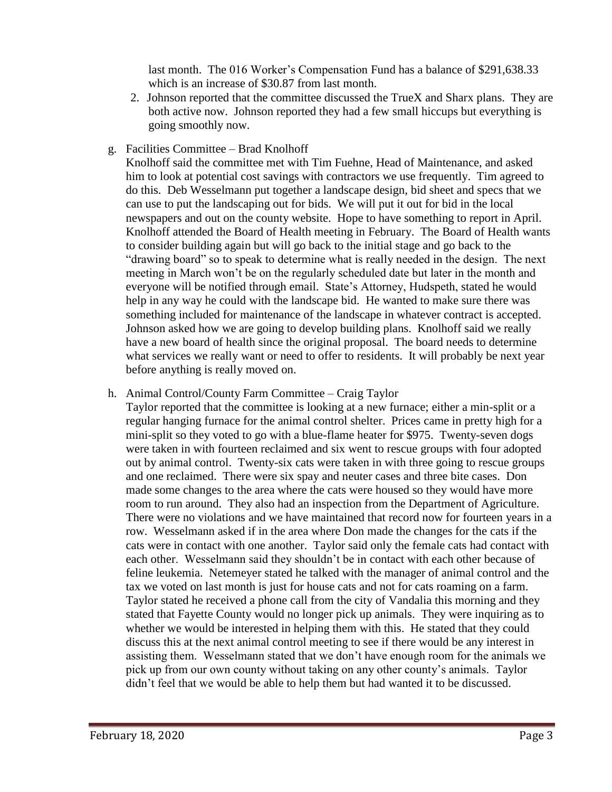last month. The 016 Worker's Compensation Fund has a balance of \$291,638.33 which is an increase of \$30.87 from last month.

- 2. Johnson reported that the committee discussed the TrueX and Sharx plans. They are both active now. Johnson reported they had a few small hiccups but everything is going smoothly now.
- g. Facilities Committee Brad Knolhoff

Knolhoff said the committee met with Tim Fuehne, Head of Maintenance, and asked him to look at potential cost savings with contractors we use frequently. Tim agreed to do this. Deb Wesselmann put together a landscape design, bid sheet and specs that we can use to put the landscaping out for bids. We will put it out for bid in the local newspapers and out on the county website. Hope to have something to report in April. Knolhoff attended the Board of Health meeting in February. The Board of Health wants to consider building again but will go back to the initial stage and go back to the "drawing board" so to speak to determine what is really needed in the design. The next meeting in March won't be on the regularly scheduled date but later in the month and everyone will be notified through email. State's Attorney, Hudspeth, stated he would help in any way he could with the landscape bid. He wanted to make sure there was something included for maintenance of the landscape in whatever contract is accepted. Johnson asked how we are going to develop building plans. Knolhoff said we really have a new board of health since the original proposal. The board needs to determine what services we really want or need to offer to residents. It will probably be next year before anything is really moved on.

### h. Animal Control/County Farm Committee – Craig Taylor

Taylor reported that the committee is looking at a new furnace; either a min-split or a regular hanging furnace for the animal control shelter. Prices came in pretty high for a mini-split so they voted to go with a blue-flame heater for \$975. Twenty-seven dogs were taken in with fourteen reclaimed and six went to rescue groups with four adopted out by animal control. Twenty-six cats were taken in with three going to rescue groups and one reclaimed. There were six spay and neuter cases and three bite cases. Don made some changes to the area where the cats were housed so they would have more room to run around. They also had an inspection from the Department of Agriculture. There were no violations and we have maintained that record now for fourteen years in a row. Wesselmann asked if in the area where Don made the changes for the cats if the cats were in contact with one another. Taylor said only the female cats had contact with each other. Wesselmann said they shouldn't be in contact with each other because of feline leukemia. Netemeyer stated he talked with the manager of animal control and the tax we voted on last month is just for house cats and not for cats roaming on a farm. Taylor stated he received a phone call from the city of Vandalia this morning and they stated that Fayette County would no longer pick up animals. They were inquiring as to whether we would be interested in helping them with this. He stated that they could discuss this at the next animal control meeting to see if there would be any interest in assisting them. Wesselmann stated that we don't have enough room for the animals we pick up from our own county without taking on any other county's animals. Taylor didn't feel that we would be able to help them but had wanted it to be discussed.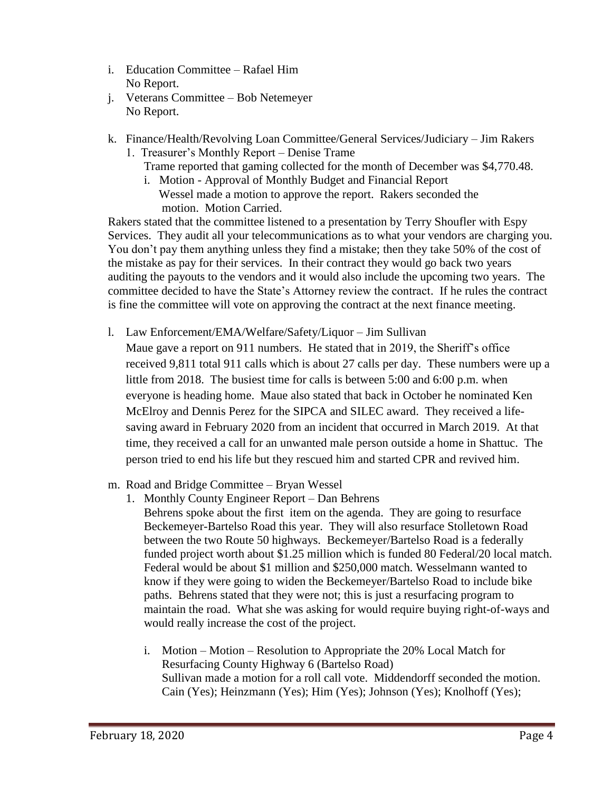- i. Education Committee Rafael Him No Report.
- j. Veterans Committee Bob Netemeyer No Report.
- k. Finance/Health/Revolving Loan Committee/General Services/Judiciary Jim Rakers
	- 1. Treasurer's Monthly Report Denise Trame Trame reported that gaming collected for the month of December was \$4,770.48.
		- i. Motion Approval of Monthly Budget and Financial Report Wessel made a motion to approve the report. Rakers seconded the motion. Motion Carried.

Rakers stated that the committee listened to a presentation by Terry Shoufler with Espy Services. They audit all your telecommunications as to what your vendors are charging you. You don't pay them anything unless they find a mistake; then they take 50% of the cost of the mistake as pay for their services. In their contract they would go back two years auditing the payouts to the vendors and it would also include the upcoming two years. The committee decided to have the State's Attorney review the contract. If he rules the contract is fine the committee will vote on approving the contract at the next finance meeting.

- l. Law Enforcement/EMA/Welfare/Safety/Liquor Jim Sullivan Maue gave a report on 911 numbers. He stated that in 2019, the Sheriff's office received 9,811 total 911 calls which is about 27 calls per day. These numbers were up a little from 2018. The busiest time for calls is between 5:00 and 6:00 p.m. when everyone is heading home. Maue also stated that back in October he nominated Ken McElroy and Dennis Perez for the SIPCA and SILEC award. They received a lifesaving award in February 2020 from an incident that occurred in March 2019. At that time, they received a call for an unwanted male person outside a home in Shattuc. The person tried to end his life but they rescued him and started CPR and revived him.
- m. Road and Bridge Committee Bryan Wessel
	- 1. Monthly County Engineer Report Dan Behrens Behrens spoke about the first item on the agenda. They are going to resurface Beckemeyer-Bartelso Road this year. They will also resurface Stolletown Road between the two Route 50 highways. Beckemeyer/Bartelso Road is a federally funded project worth about \$1.25 million which is funded 80 Federal/20 local match. Federal would be about \$1 million and \$250,000 match. Wesselmann wanted to know if they were going to widen the Beckemeyer/Bartelso Road to include bike paths. Behrens stated that they were not; this is just a resurfacing program to maintain the road. What she was asking for would require buying right-of-ways and would really increase the cost of the project.
		- i. Motion Motion Resolution to Appropriate the 20% Local Match for Resurfacing County Highway 6 (Bartelso Road) Sullivan made a motion for a roll call vote. Middendorff seconded the motion. Cain (Yes); Heinzmann (Yes); Him (Yes); Johnson (Yes); Knolhoff (Yes);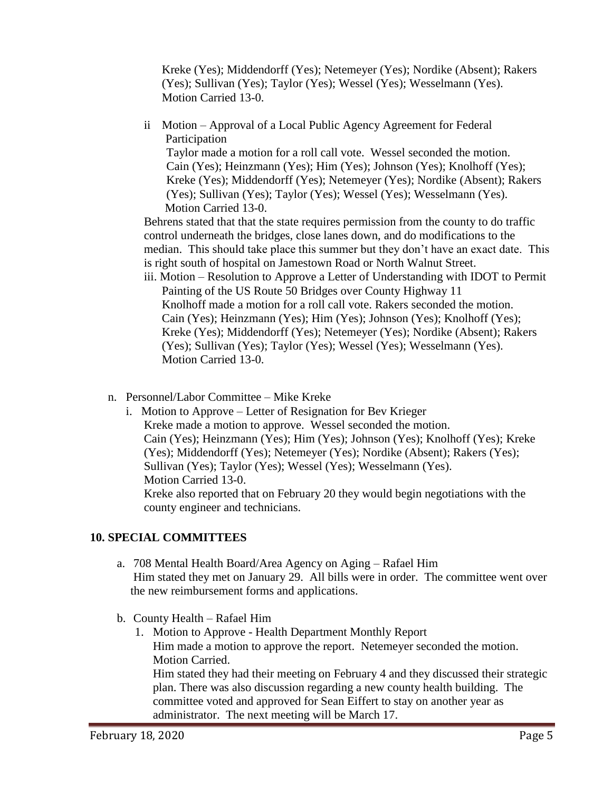Kreke (Yes); Middendorff (Yes); Netemeyer (Yes); Nordike (Absent); Rakers (Yes); Sullivan (Yes); Taylor (Yes); Wessel (Yes); Wesselmann (Yes). Motion Carried 13-0.

ii Motion – Approval of a Local Public Agency Agreement for Federal Participation

Taylor made a motion for a roll call vote. Wessel seconded the motion. Cain (Yes); Heinzmann (Yes); Him (Yes); Johnson (Yes); Knolhoff (Yes); Kreke (Yes); Middendorff (Yes); Netemeyer (Yes); Nordike (Absent); Rakers (Yes); Sullivan (Yes); Taylor (Yes); Wessel (Yes); Wesselmann (Yes). Motion Carried 13-0.

Behrens stated that that the state requires permission from the county to do traffic control underneath the bridges, close lanes down, and do modifications to the median. This should take place this summer but they don't have an exact date. This is right south of hospital on Jamestown Road or North Walnut Street.

- iii. Motion Resolution to Approve a Letter of Understanding with IDOT to Permit Painting of the US Route 50 Bridges over County Highway 11 Knolhoff made a motion for a roll call vote. Rakers seconded the motion. Cain (Yes); Heinzmann (Yes); Him (Yes); Johnson (Yes); Knolhoff (Yes); Kreke (Yes); Middendorff (Yes); Netemeyer (Yes); Nordike (Absent); Rakers (Yes); Sullivan (Yes); Taylor (Yes); Wessel (Yes); Wesselmann (Yes). Motion Carried 13-0.
- n. Personnel/Labor Committee Mike Kreke
	- i. Motion to Approve Letter of Resignation for Bev Krieger Kreke made a motion to approve. Wessel seconded the motion. Cain (Yes); Heinzmann (Yes); Him (Yes); Johnson (Yes); Knolhoff (Yes); Kreke (Yes); Middendorff (Yes); Netemeyer (Yes); Nordike (Absent); Rakers (Yes); Sullivan (Yes); Taylor (Yes); Wessel (Yes); Wesselmann (Yes). Motion Carried 13-0. Kreke also reported that on February 20 they would begin negotiations with the county engineer and technicians.

# **10. SPECIAL COMMITTEES**

- a. 708 Mental Health Board/Area Agency on Aging Rafael Him Him stated they met on January 29. All bills were in order. The committee went over the new reimbursement forms and applications.
- b. County Health Rafael Him
	- 1. Motion to Approve Health Department Monthly Report Him made a motion to approve the report. Netemeyer seconded the motion. Motion Carried. Him stated they had their meeting on February 4 and they discussed their strategic plan. There was also discussion regarding a new county health building. The committee voted and approved for Sean Eiffert to stay on another year as administrator. The next meeting will be March 17.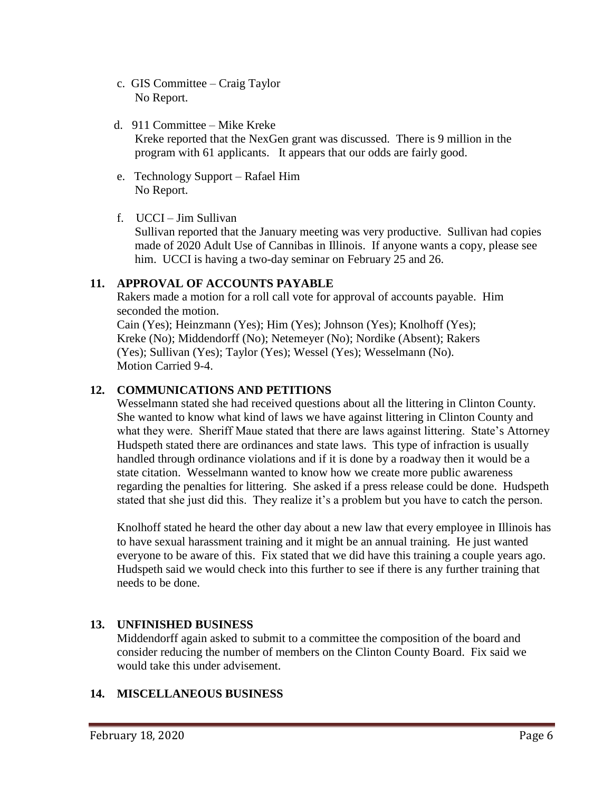- c. GIS Committee Craig Taylor No Report.
- d. 911 Committee Mike Kreke Kreke reported that the NexGen grant was discussed. There is 9 million in the program with 61 applicants. It appears that our odds are fairly good.
- e. Technology Support Rafael Him No Report.
- f. UCCI Jim Sullivan

Sullivan reported that the January meeting was very productive. Sullivan had copies made of 2020 Adult Use of Cannibas in Illinois. If anyone wants a copy, please see him. UCCI is having a two-day seminar on February 25 and 26.

### **11. APPROVAL OF ACCOUNTS PAYABLE**

Rakers made a motion for a roll call vote for approval of accounts payable. Him seconded the motion.

 Cain (Yes); Heinzmann (Yes); Him (Yes); Johnson (Yes); Knolhoff (Yes); Kreke (No); Middendorff (No); Netemeyer (No); Nordike (Absent); Rakers (Yes); Sullivan (Yes); Taylor (Yes); Wessel (Yes); Wesselmann (No). Motion Carried 9-4.

### **12. COMMUNICATIONS AND PETITIONS**

Wesselmann stated she had received questions about all the littering in Clinton County. She wanted to know what kind of laws we have against littering in Clinton County and what they were. Sheriff Maue stated that there are laws against littering. State's Attorney Hudspeth stated there are ordinances and state laws. This type of infraction is usually handled through ordinance violations and if it is done by a roadway then it would be a state citation. Wesselmann wanted to know how we create more public awareness regarding the penalties for littering. She asked if a press release could be done. Hudspeth stated that she just did this. They realize it's a problem but you have to catch the person.

Knolhoff stated he heard the other day about a new law that every employee in Illinois has to have sexual harassment training and it might be an annual training. He just wanted everyone to be aware of this. Fix stated that we did have this training a couple years ago. Hudspeth said we would check into this further to see if there is any further training that needs to be done.

# **13. UNFINISHED BUSINESS**

Middendorff again asked to submit to a committee the composition of the board and consider reducing the number of members on the Clinton County Board. Fix said we would take this under advisement.

# **14. MISCELLANEOUS BUSINESS**